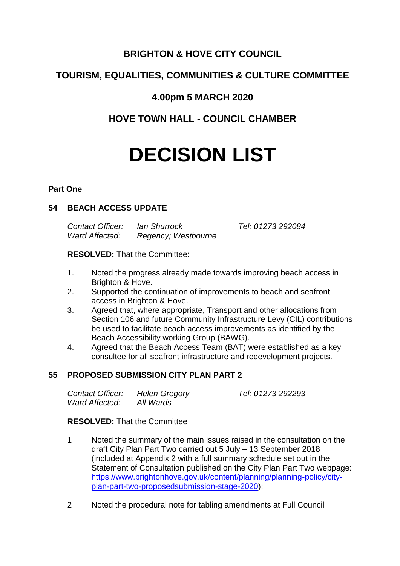## **BRIGHTON & HOVE CITY COUNCIL**

# **TOURISM, EQUALITIES, COMMUNITIES & CULTURE COMMITTEE**

# **4.00pm 5 MARCH 2020**

# **HOVE TOWN HALL - COUNCIL CHAMBER**

# **DECISION LIST**

#### **Part One**

## **54 BEACH ACCESS UPDATE**

*Contact Officer: Ian Shurrock Tel: 01273 292084 Ward Affected: Regency; Westbourne*

**RESOLVED:** That the Committee:

- 1. Noted the progress already made towards improving beach access in Brighton & Hove.
- 2. Supported the continuation of improvements to beach and seafront access in Brighton & Hove.
- 3. Agreed that, where appropriate, Transport and other allocations from Section 106 and future Community Infrastructure Levy (CIL) contributions be used to facilitate beach access improvements as identified by the Beach Accessibility working Group (BAWG).
- 4. Agreed that the Beach Access Team (BAT) were established as a key consultee for all seafront infrastructure and redevelopment projects.

## **55 PROPOSED SUBMISSION CITY PLAN PART 2**

| Contact Officer: | Helen Gregory | Tel: 01273 292293 |
|------------------|---------------|-------------------|
| Ward Affected:   | All Wards     |                   |

### **RESOLVED:** That the Committee

- 1 Noted the summary of the main issues raised in the consultation on the draft City Plan Part Two carried out 5 July – 13 September 2018 (included at Appendix 2 with a full summary schedule set out in the Statement of Consultation published on the City Plan Part Two webpage: [https://www.brightonhove.gov.uk/content/planning/planning-policy/city](https://www.brightonhove.gov.uk/content/planning/planning-policy/city-plan-part-two-proposedsubmission-stage-2020)[plan-part-two-proposedsubmission-stage-2020\)](https://www.brightonhove.gov.uk/content/planning/planning-policy/city-plan-part-two-proposedsubmission-stage-2020);
- 2 Noted the procedural note for tabling amendments at Full Council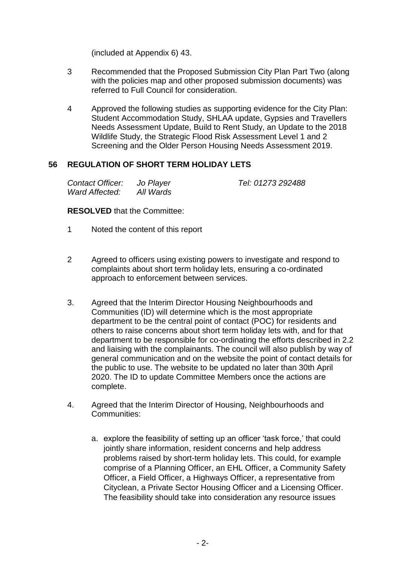(included at Appendix 6) 43.

- 3 Recommended that the Proposed Submission City Plan Part Two (along with the policies map and other proposed submission documents) was referred to Full Council for consideration.
- 4 Approved the following studies as supporting evidence for the City Plan: Student Accommodation Study, SHLAA update, Gypsies and Travellers Needs Assessment Update, Build to Rent Study, an Update to the 2018 Wildlife Study, the Strategic Flood Risk Assessment Level 1 and 2 Screening and the Older Person Housing Needs Assessment 2019.

#### **56 REGULATION OF SHORT TERM HOLIDAY LETS**

| Contact Officer: | Jo Player |
|------------------|-----------|
| Ward Affected:   | All Wards |

*Contact Officer: Jo Player Tel: 01273 292488*

**RESOLVED** that the Committee:

- 1 Noted the content of this report
- 2 Agreed to officers using existing powers to investigate and respond to complaints about short term holiday lets, ensuring a co-ordinated approach to enforcement between services.
- 3. Agreed that the Interim Director Housing Neighbourhoods and Communities (ID) will determine which is the most appropriate department to be the central point of contact (POC) for residents and others to raise concerns about short term holiday lets with, and for that department to be responsible for co-ordinating the efforts described in 2.2 and liaising with the complainants. The council will also publish by way of general communication and on the website the point of contact details for the public to use. The website to be updated no later than 30th April 2020. The ID to update Committee Members once the actions are complete.
- 4. Agreed that the Interim Director of Housing, Neighbourhoods and Communities:
	- a. explore the feasibility of setting up an officer 'task force,' that could jointly share information, resident concerns and help address problems raised by short-term holiday lets. This could, for example comprise of a Planning Officer, an EHL Officer, a Community Safety Officer, a Field Officer, a Highways Officer, a representative from Cityclean, a Private Sector Housing Officer and a Licensing Officer. The feasibility should take into consideration any resource issues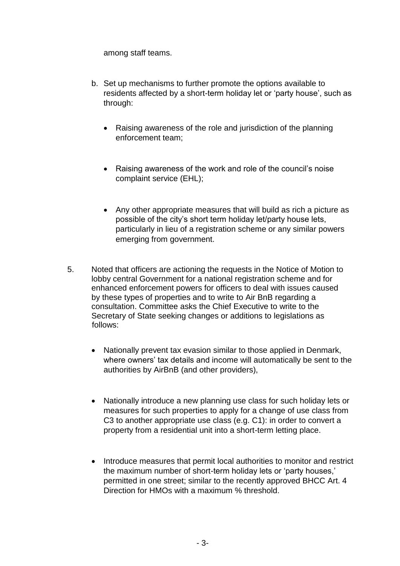among staff teams.

- b. Set up mechanisms to further promote the options available to residents affected by a short-term holiday let or 'party house', such as through:
	- Raising awareness of the role and jurisdiction of the planning enforcement team;
	- Raising awareness of the work and role of the council's noise complaint service (EHL);
	- Any other appropriate measures that will build as rich a picture as possible of the city's short term holiday let/party house lets, particularly in lieu of a registration scheme or any similar powers emerging from government.
- 5. Noted that officers are actioning the requests in the Notice of Motion to lobby central Government for a national registration scheme and for enhanced enforcement powers for officers to deal with issues caused by these types of properties and to write to Air BnB regarding a consultation. Committee asks the Chief Executive to write to the Secretary of State seeking changes or additions to legislations as follows:
	- Nationally prevent tax evasion similar to those applied in Denmark, where owners' tax details and income will automatically be sent to the authorities by AirBnB (and other providers),
	- Nationally introduce a new planning use class for such holiday lets or measures for such properties to apply for a change of use class from C3 to another appropriate use class (e.g. C1): in order to convert a property from a residential unit into a short-term letting place.
	- Introduce measures that permit local authorities to monitor and restrict the maximum number of short-term holiday lets or 'party houses,' permitted in one street; similar to the recently approved BHCC Art. 4 Direction for HMOs with a maximum % threshold.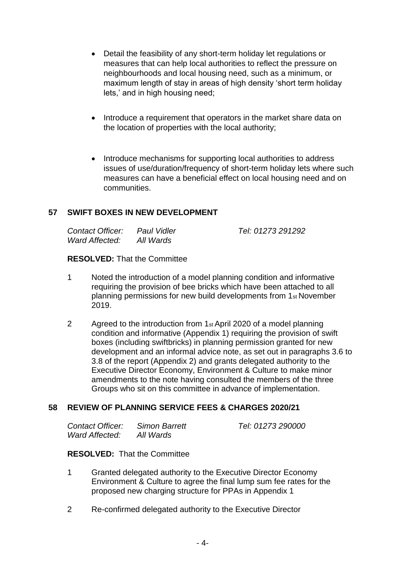- Detail the feasibility of any short-term holiday let regulations or measures that can help local authorities to reflect the pressure on neighbourhoods and local housing need, such as a minimum, or maximum length of stay in areas of high density 'short term holiday lets,' and in high housing need;
- Introduce a requirement that operators in the market share data on the location of properties with the local authority;
- Introduce mechanisms for supporting local authorities to address issues of use/duration/frequency of short-term holiday lets where such measures can have a beneficial effect on local housing need and on communities.

### **57 SWIFT BOXES IN NEW DEVELOPMENT**

| Contact Officer: | Paul Vidler | Tel: 01273 291292 |
|------------------|-------------|-------------------|
| Ward Affected:   | All Wards   |                   |

#### **RESOLVED:** That the Committee

- 1 Noted the introduction of a model planning condition and informative requiring the provision of bee bricks which have been attached to all planning permissions for new build developments from 1st November 2019.
- 2 Agreed to the introduction from 1st April 2020 of a model planning condition and informative (Appendix 1) requiring the provision of swift boxes (including swiftbricks) in planning permission granted for new development and an informal advice note, as set out in paragraphs 3.6 to 3.8 of the report (Appendix 2) and grants delegated authority to the Executive Director Economy, Environment & Culture to make minor amendments to the note having consulted the members of the three Groups who sit on this committee in advance of implementation.

### **58 REVIEW OF PLANNING SERVICE FEES & CHARGES 2020/21**

| Contact Officer: | Simon Barrett | Tel: 01273 290000 |
|------------------|---------------|-------------------|
| Ward Affected:   | All Wards     |                   |

## **RESOLVED:** That the Committee

- 1 Granted delegated authority to the Executive Director Economy Environment & Culture to agree the final lump sum fee rates for the proposed new charging structure for PPAs in Appendix 1
- 2 Re-confirmed delegated authority to the Executive Director